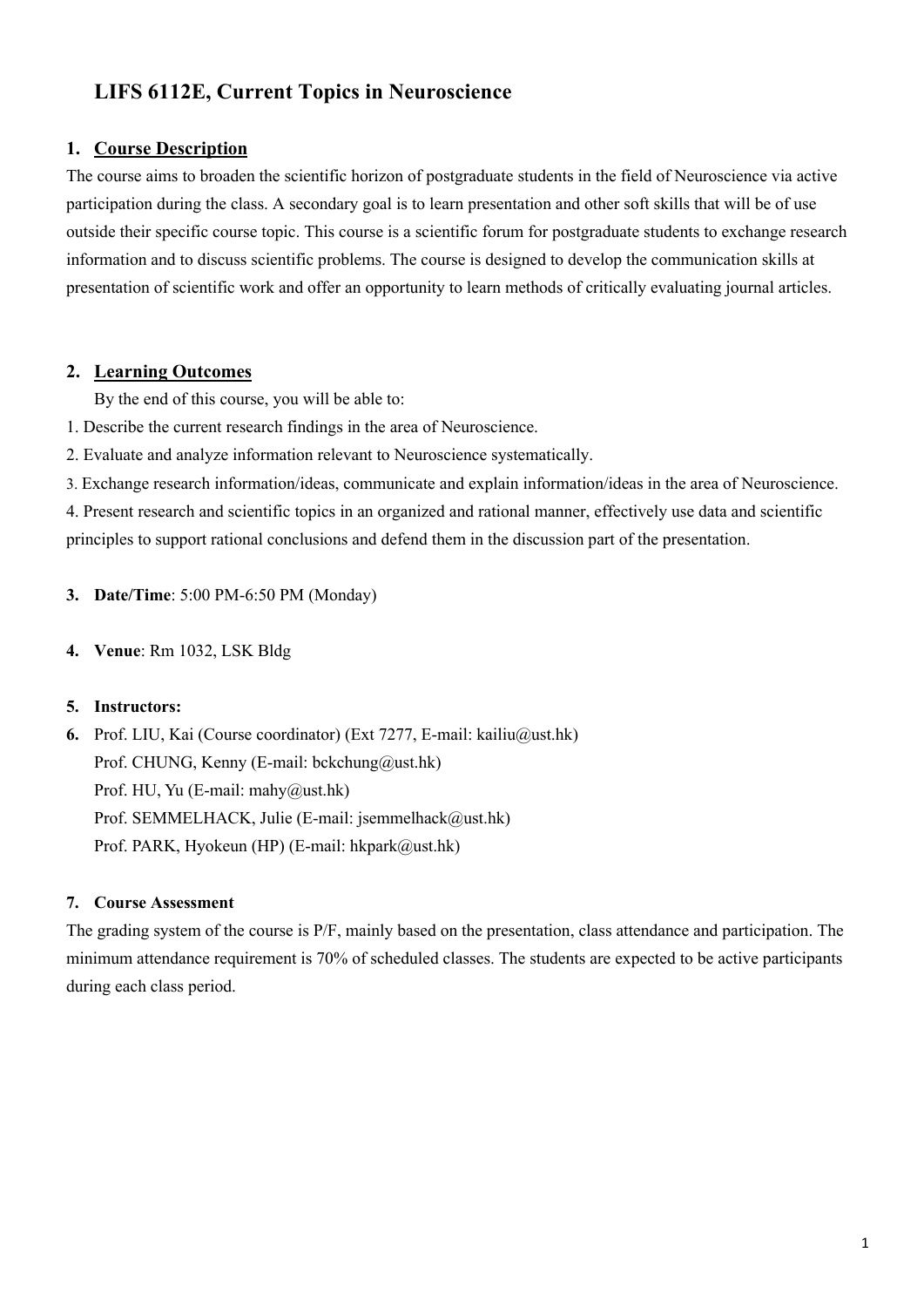# **LIFS 6112E, Current Topics in Neuroscience**

#### **1. Course Description**

The course aims to broaden the scientific horizon of postgraduate students in the field of Neuroscience via active participation during the class. A secondary goal is to learn presentation and other soft skills that will be of use outside their specific course topic. This course is a scientific forum for postgraduate students to exchange research information and to discuss scientific problems. The course is designed to develop the communication skills at presentation of scientific work and offer an opportunity to learn methods of critically evaluating journal articles.

### **2. Learning Outcomes**

By the end of this course, you will be able to:

1. Describe the current research findings in the area of Neuroscience.

2. Evaluate and analyze information relevant to Neuroscience systematically.

3. Exchange research information/ideas, communicate and explain information/ideas in the area of Neuroscience.

4. Present research and scientific topics in an organized and rational manner, effectively use data and scientific principles to support rational conclusions and defend them in the discussion part of the presentation.

**3. Date/Time**: 5:00 PM-6:50 PM (Monday)

**4. Venue**: Rm 1032, LSK Bldg

#### **5. Instructors:**

**6.** Prof. LIU, Kai (Course coordinator) (Ext 7277, E-mail: kailiu@ust.hk) Prof. CHUNG, Kenny (E-mail: bckchung@ust.hk) Prof. HU, Yu (E-mail: mahy@ust.hk) Prof. SEMMELHACK, Julie (E-mail: jsemmelhack@ust.hk) Prof. PARK, Hyokeun (HP) (E-mail: hkpark@ust.hk)

#### **7. Course Assessment**

The grading system of the course is P/F, mainly based on the presentation, class attendance and participation. The minimum attendance requirement is 70% of scheduled classes. The students are expected to be active participants during each class period.